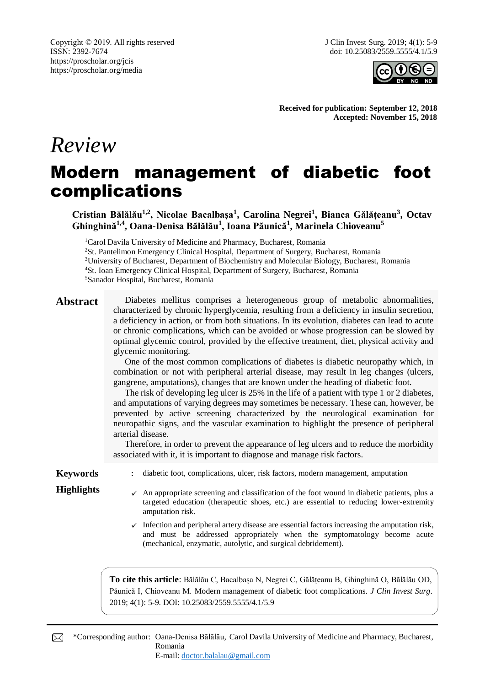

**Received for publication: September 12, 2018 Accepted: November 15, 2018**

# *Review*

# Modern management of diabetic foot complications

**Cristian Bălălău1,2, Nicolae Bacalbașa<sup>1</sup> , Carolina Negrei<sup>1</sup> , Bianca Gălățeanu<sup>3</sup> , Octav Ghinghină1,4, Oana-Denisa Bălălău<sup>1</sup> , Ioana Păunică<sup>1</sup> , Marinela Chioveanu<sup>5</sup>**

<sup>1</sup>Carol Davila University of Medicine and Pharmacy, Bucharest, Romania

<sup>2</sup>St. Pantelimon Emergency Clinical Hospital, Department of Surgery, Bucharest, Romania <sup>3</sup>University of Bucharest, Department of Biochemistry and Molecular Biology, Bucharest, Romania

<sup>4</sup>St. Ioan Emergency Clinical Hospital, Department of Surgery, Bucharest, Romania

<sup>5</sup>Sanador Hospital, Bucharest, Romania

Abstract Diabetes mellitus comprises a heterogeneous group of metabolic abnormalities, characterized by chronic hyperglycemia, resulting from a deficiency in insulin secretion, a deficiency in action, or from both situations. In its evolution, diabetes can lead to acute or chronic complications, which can be avoided or whose progression can be slowed by optimal glycemic control, provided by the effective treatment, diet, physical activity and glycemic monitoring.

> One of the most common complications of diabetes is diabetic neuropathy which, in combination or not with peripheral arterial disease, may result in leg changes (ulcers, gangrene, amputations), changes that are known under the heading of diabetic foot.

> The risk of developing leg ulcer is 25% in the life of a patient with type 1 or 2 diabetes, and amputations of varying degrees may sometimes be necessary. These can, however, be prevented by active screening characterized by the neurological examination for neuropathic signs, and the vascular examination to highlight the presence of peripheral arterial disease.

> Therefore, in order to prevent the appearance of leg ulcers and to reduce the morbidity associated with it, it is important to diagnose and manage risk factors.

- 
- **Keywords** : diabetic foot, complications, ulcer, risk factors, modern management, amputation
- **Highlights**  $\checkmark$  An appropriate screening and classification of the foot wound in diabetic patients, plus a targeted education (therapeutic shoes, etc.) are essential to reducing lower-extremity amputation risk.
	- $\checkmark$  Infection and peripheral artery disease are essential factors increasing the amputation risk, and must be addressed appropriately when the symptomatology become acute (mechanical, enzymatic, autolytic, and surgical debridement).

**To cite this article**: Bălălău C, Bacalbașa N, Negrei C, Gălățeanu B, Ghinghină O, Bălălău OD, Păunică I, Chioveanu M. Modern management of diabetic foot complications. *J Clin Invest Surg*. 2019; 4(1): 5-9. DOI: 10.25083/2559.5555/4.1/5.9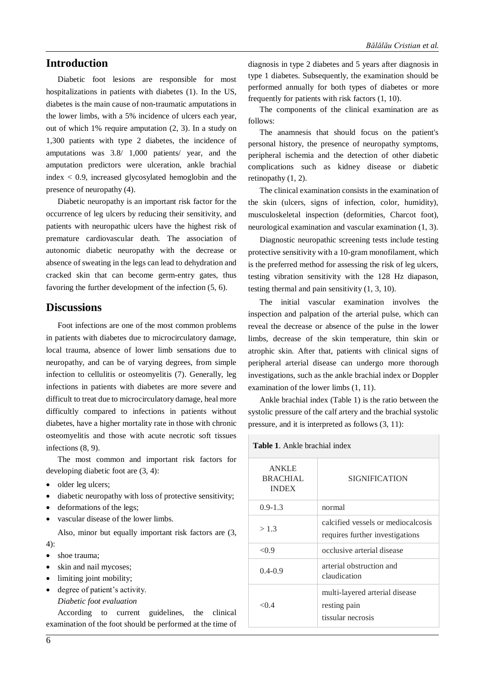### **Introduction**

Diabetic foot lesions are responsible for most hospitalizations in patients with diabetes (1). In the US, diabetes is the main cause of non-traumatic amputations in the lower limbs, with a 5% incidence of ulcers each year, out of which 1% require amputation (2, 3). In a study on 1,300 patients with type 2 diabetes, the incidence of amputations was 3.8/ 1,000 patients/ year, and the amputation predictors were ulceration, ankle brachial index < 0.9, increased glycosylated hemoglobin and the presence of neuropathy (4).

Diabetic neuropathy is an important risk factor for the occurrence of leg ulcers by reducing their sensitivity, and patients with neuropathic ulcers have the highest risk of premature cardiovascular death. The association of autonomic diabetic neuropathy with the decrease or absence of sweating in the legs can lead to dehydration and cracked skin that can become germ-entry gates, thus favoring the further development of the infection (5, 6).

### **Discussions**

Foot infections are one of the most common problems in patients with diabetes due to microcirculatory damage, local trauma, absence of lower limb sensations due to neuropathy, and can be of varying degrees, from simple infection to cellulitis or osteomyelitis (7). Generally, leg infections in patients with diabetes are more severe and difficult to treat due to microcirculatory damage, heal more difficultly compared to infections in patients without diabetes, have a higher mortality rate in those with chronic osteomyelitis and those with acute necrotic soft tissues infections (8, 9).

The most common and important risk factors for developing diabetic foot are (3, 4):

- older leg ulcers;
- diabetic neuropathy with loss of protective sensitivity;
- deformations of the legs;
- vascular disease of the lower limbs.

Also, minor but equally important risk factors are (3, 4):

- shoe trauma;
- skin and nail mycoses;
- limiting joint mobility;
- degree of patient's activity. *Diabetic foot evaluation*

According to current guidelines, the clinical examination of the foot should be performed at the time of diagnosis in type 2 diabetes and 5 years after diagnosis in type 1 diabetes. Subsequently, the examination should be performed annually for both types of diabetes or more frequently for patients with risk factors (1, 10).

The components of the clinical examination are as follows:

The anamnesis that should focus on the patient's personal history, the presence of neuropathy symptoms, peripheral ischemia and the detection of other diabetic complications such as kidney disease or diabetic retinopathy (1, 2).

The clinical examination consists in the examination of the skin (ulcers, signs of infection, color, humidity), musculoskeletal inspection (deformities, Charcot foot), neurological examination and vascular examination (1, 3).

Diagnostic neuropathic screening tests include testing protective sensitivity with a 10-gram monofilament, which is the preferred method for assessing the risk of leg ulcers, testing vibration sensitivity with the 128 Hz diapason, testing thermal and pain sensitivity (1, 3, 10).

The initial vascular examination involves the inspection and palpation of the arterial pulse, which can reveal the decrease or absence of the pulse in the lower limbs, decrease of the skin temperature, thin skin or atrophic skin. After that, patients with clinical signs of peripheral arterial disease can undergo more thorough investigations, such as the ankle brachial index or Doppler examination of the lower limbs (1, 11).

Ankle brachial index (Table 1) is the ratio between the systolic pressure of the calf artery and the brachial systolic pressure, and it is interpreted as follows (3, 11):

**Table 1**. Ankle brachial index

| <b>ANKLE</b><br>BRACHIAL<br><b>INDEX</b> | SIGNIFICATION                                                         |
|------------------------------------------|-----------------------------------------------------------------------|
| $0.9 - 1.3$                              | normal                                                                |
| >1.3                                     | calcified vessels or mediocalcosis<br>requires further investigations |
| < 0.9                                    | occlusive arterial disease                                            |
| $0.4 - 0.9$                              | arterial obstruction and<br>claudication                              |
| $<$ 0 4                                  | multi-layered arterial disease<br>resting pain<br>tissular necrosis   |
|                                          |                                                                       |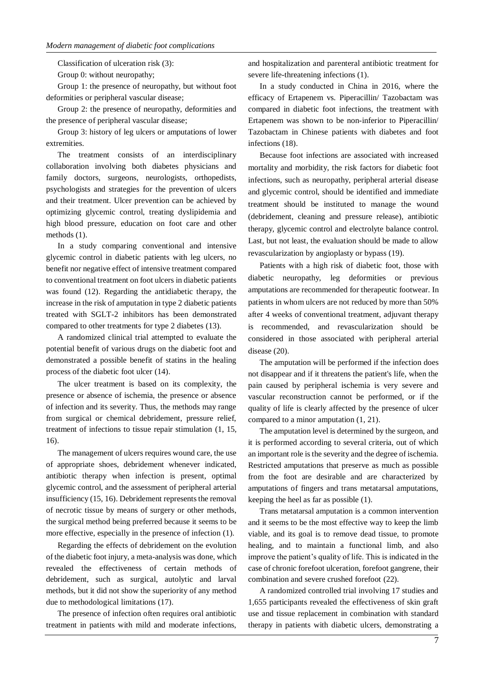Classification of ulceration risk (3):

Group 0: without neuropathy;

Group 1: the presence of neuropathy, but without foot deformities or peripheral vascular disease;

Group 2: the presence of neuropathy, deformities and the presence of peripheral vascular disease;

Group 3: history of leg ulcers or amputations of lower extremities.

The treatment consists of an interdisciplinary collaboration involving both diabetes physicians and family doctors, surgeons, neurologists, orthopedists, psychologists and strategies for the prevention of ulcers and their treatment. Ulcer prevention can be achieved by optimizing glycemic control, treating dyslipidemia and high blood pressure, education on foot care and other methods (1).

In a study comparing conventional and intensive glycemic control in diabetic patients with leg ulcers, no benefit nor negative effect of intensive treatment compared to conventional treatment on foot ulcers in diabetic patients was found (12). Regarding the antidiabetic therapy, the increase in the risk of amputation in type 2 diabetic patients treated with SGLT-2 inhibitors has been demonstrated compared to other treatments for type 2 diabetes (13).

A randomized clinical trial attempted to evaluate the potential benefit of various drugs on the diabetic foot and demonstrated a possible benefit of statins in the healing process of the diabetic foot ulcer (14).

The ulcer treatment is based on its complexity, the presence or absence of ischemia, the presence or absence of infection and its severity. Thus, the methods may range from surgical or chemical debridement, pressure relief, treatment of infections to tissue repair stimulation (1, 15, 16).

The management of ulcers requires wound care, the use of appropriate shoes, debridement whenever indicated, antibiotic therapy when infection is present, optimal glycemic control, and the assessment of peripheral arterial insufficiency (15, 16). Debridement represents the removal of necrotic tissue by means of surgery or other methods, the surgical method being preferred because it seems to be more effective, especially in the presence of infection (1).

Regarding the effects of debridement on the evolution of the diabetic foot injury, a meta-analysis was done, which revealed the effectiveness of certain methods of debridement, such as surgical, autolytic and larval methods, but it did not show the superiority of any method due to methodological limitations (17).

The presence of infection often requires oral antibiotic treatment in patients with mild and moderate infections, and hospitalization and parenteral antibiotic treatment for severe life-threatening infections (1).

In a study conducted in China in 2016, where the efficacy of Ertapenem vs. Piperacillin/ Tazobactam was compared in diabetic foot infections, the treatment with Ertapenem was shown to be non-inferior to Piperacillin/ Tazobactam in Chinese patients with diabetes and foot infections (18).

Because foot infections are associated with increased mortality and morbidity, the risk factors for diabetic foot infections, such as neuropathy, peripheral arterial disease and glycemic control, should be identified and immediate treatment should be instituted to manage the wound (debridement, cleaning and pressure release), antibiotic therapy, glycemic control and electrolyte balance control. Last, but not least, the evaluation should be made to allow revascularization by angioplasty or bypass (19).

Patients with a high risk of diabetic foot, those with diabetic neuropathy, leg deformities or previous amputations are recommended for therapeutic footwear. In patients in whom ulcers are not reduced by more than 50% after 4 weeks of conventional treatment, adjuvant therapy is recommended, and revascularization should be considered in those associated with peripheral arterial disease (20).

The amputation will be performed if the infection does not disappear and if it threatens the patient's life, when the pain caused by peripheral ischemia is very severe and vascular reconstruction cannot be performed, or if the quality of life is clearly affected by the presence of ulcer compared to a minor amputation (1, 21).

The amputation level is determined by the surgeon, and it is performed according to several criteria, out of which an important role is the severity and the degree of ischemia. Restricted amputations that preserve as much as possible from the foot are desirable and are characterized by amputations of fingers and trans metatarsal amputations, keeping the heel as far as possible (1).

Trans metatarsal amputation is a common intervention and it seems to be the most effective way to keep the limb viable, and its goal is to remove dead tissue, to promote healing, and to maintain a functional limb, and also improve the patient's quality of life. This is indicated in the case of chronic forefoot ulceration, forefoot gangrene, their combination and severe crushed forefoot (22).

A randomized controlled trial involving 17 studies and 1,655 participants revealed the effectiveness of skin graft use and tissue replacement in combination with standard therapy in patients with diabetic ulcers, demonstrating a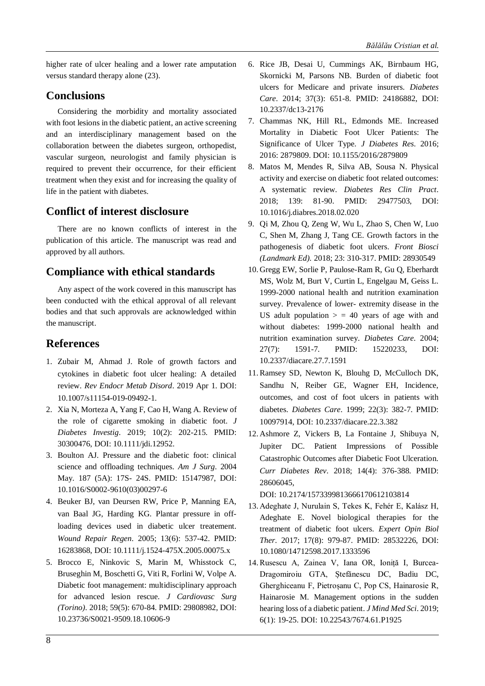higher rate of ulcer healing and a lower rate amputation versus standard therapy alone (23).

## **Conclusions**

Considering the morbidity and mortality associated with foot lesions in the diabetic patient, an active screening and an interdisciplinary management based on the collaboration between the diabetes surgeon, orthopedist, vascular surgeon, neurologist and family physician is required to prevent their occurrence, for their efficient treatment when they exist and for increasing the quality of life in the patient with diabetes.

# **Conflict of interest disclosure**

There are no known conflicts of interest in the publication of this article. The manuscript was read and approved by all authors.

# **Compliance with ethical standards**

Any aspect of the work covered in this manuscript has been conducted with the ethical approval of all relevant bodies and that such approvals are acknowledged within the manuscript.

## **References**

- 1. Zubair M, Ahmad J. Role of growth factors and cytokines in diabetic foot ulcer healing: A detailed review. *Rev Endocr Metab Disord*. 2019 Apr 1. DOI: 10.1007/s11154-019-09492-1.
- 2. Xia N, Morteza A, Yang F, Cao H, Wang A. Review of the role of cigarette smoking in diabetic foot. *J Diabetes Investig*. 2019; 10(2): 202-215. PMID: 30300476, DOI: 10.1111/jdi.12952.
- 3. Boulton AJ. Pressure and the diabetic foot: clinical science and offloading techniques. *Am J Surg*. 2004 May. 187 (5A): 17S- 24S. PMID: 15147987, DOI: 10.1016/S0002-9610(03)00297-6
- 4. Beuker BJ, van Deursen RW, Price P, Manning EA, van Baal JG, Harding KG. Plantar pressure in offloading devices used in diabetic ulcer treatement. *Wound Repair Regen*. 2005; 13(6): 537-42. PMID: 16283868, DOI: 10.1111/j.1524-475X.2005.00075.x
- 5. Brocco E, Ninkovic S, Marin M, Whisstock C, Bruseghin M, Boschetti G, Viti R, Forlini W, Volpe A. Diabetic foot management: multidisciplinary approach for advanced lesion rescue. *J Cardiovasc Surg (Torino)*. 2018; 59(5): 670-84. PMID: 29808982, DOI: 10.23736/S0021-9509.18.10606-9
- 6. Rice JB, Desai U, Cummings AK, Birnbaum HG, Skornicki M, Parsons NB. Burden of diabetic foot ulcers for Medicare and private insurers. *Diabetes Care*. 2014; 37(3): 651-8. PMID: 24186882, DOI: 10.2337/dc13-2176
- 7. Chammas NK, Hill RL, Edmonds ME. Increased Mortality in Diabetic Foot Ulcer Patients: The Significance of Ulcer Type. *J Diabetes Res*. 2016; 2016: 2879809. DOI: 10.1155/2016/2879809
- 8. Matos M, Mendes R, Silva AB, Sousa N. Physical activity and exercise on diabetic foot related outcomes: A systematic review. *Diabetes Res Clin Pract*. 2018; 139: 81-90. PMID: 29477503, DOI: 10.1016/j.diabres.2018.02.020
- 9. Qi M, Zhou Q, Zeng W, Wu L, Zhao S, Chen W, Luo C, Shen M, Zhang J, Tang CE. Growth factors in the pathogenesis of diabetic foot ulcers. *Front Biosci (Landmark Ed).* 2018; 23: 310-317. PMID: 28930549
- 10. Gregg EW, Sorlie P, Paulose-Ram R, Gu Q, Eberhardt MS, Wolz M, Burt V, Curtin L, Engelgau M, Geiss L. 1999-2000 national health and nutrition examination survey. Prevalence of lower- extremity disease in the US adult population  $>$  = 40 years of age with and without diabetes: 1999-2000 national health and nutrition examination survey. *Diabetes Care*. 2004; 27(7): 1591-7. PMID: 15220233, DOI: 10.2337/diacare.27.7.1591
- 11. Ramsey SD, Newton K, Blouhg D, McCulloch DK, Sandhu N, Reiber GE, Wagner EH, Incidence, outcomes, and cost of foot ulcers in patients with diabetes. *Diabetes Care*. 1999; 22(3): 382-7. PMID: 10097914, DOI: 10.2337/diacare.22.3.382
- 12. Ashmore Z, Vickers B, La Fontaine J, Shibuya N, Jupiter DC. Patient Impressions of Possible Catastrophic Outcomes after Diabetic Foot Ulceration. *Curr Diabetes Rev*. 2018; 14(4): 376-388. PMID: 28606045,

DOI: 10.2174/1573399813666170612103814

- 13. Adeghate J, Nurulain S, Tekes K, Fehér E, Kalász H, Adeghate E. Novel biological therapies for the treatment of diabetic foot ulcers. *Expert Opin Biol Ther*. 2017; 17(8): 979-87. PMID: 28532226, DOI: 10.1080/14712598.2017.1333596
- 14. Rusescu A, Zainea V, Iana OR, Ioniță I, Burcea-Dragomiroiu GTA, Ștefănescu DC, Badiu DC, Gherghiceanu F, Pietroșanu C, Pop CS, Hainarosie R, Hainarosie M. Management options in the sudden hearing loss of a diabetic patient. *J Mind Med Sci*. 2019; 6(1): 19-25. DOI: 10.22543/7674.61.P1925